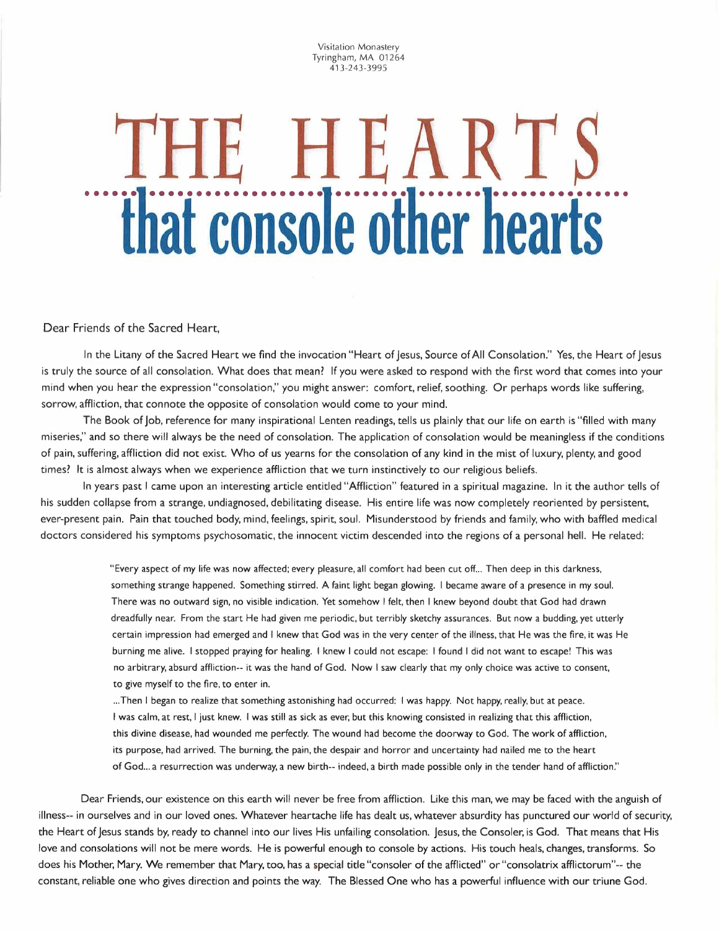Visitation Monastery Tyringham, MA 01264 413-243-3995

## **THE HEART**  *ihat console other hearts*

Dear Friends of the Sacred Heart,

In the Litany of the Sacred Heart we find the invocation "Heart of Jesus, Source of All Consolation." Yes, the Heart of Jesus is truly the source of all consolation. What does that mean? If you were asked to respond with the first word that comes into your mind when you hear the expression "consolation," you might answer: comfort, relief, soothing. Or perhaps words like suffering, sorrow, affliction, that connote the opposite of consolation would come to your mind.

The Book of Job, reference for many inspirational Lenten readings, tells us plainly that our life on earth is "filled with many miseries," and so there will always be the need of consolation. The application of consolation would be meaningless if the conditions of pain, suffering, affliction did not exist. Who of us yearns for the consolation of any kind in the mist of luxury, plenty, and good times? It is almost always when we experience affliction that we turn instinctively to our religious beliefs.

In years past I came upon an interesting article entitled "Affliction" featured in a spiritual magazine. In it the author tells of his sudden collapse from a strange, undiagnosed, debilitating disease. His entire life was now completely reoriented by persistent, ever-present pain. Pain that touched body, mind, feelings, spirit, soul. Misunderstood by friends and family, who with baffled medical doctors considered his symptoms psychosomatic, the innocent victim descended into the regions of a personal hell. He related:

> "Every aspect of my life was now affected; every pleasure, all comfort had been cut off... Then deep in this darkness, something strange happened. Something stirred. A faint light began glowing. I became aware of a presence in my soul. There was no outward sign, no visible indication. Yet somehow I felt, then I knew beyond doubt that God had drawn dreadfully near. From the start He had given me periodic, but terribly sketchy assurances. But now a budding, yet utterly certain impression had emerged and I knew that God was in the very center of the illness, that He was the fire, it was He burning me alive. I stopped praying for healing. I knew I could not escape: I found I did not want to escape! This was no arbitrary, absurd affliction-- it was the hand of God. Now I saw clearly that my only choice was active to consent, to give myself to the fire, to enter in.

... Then I began to realize that something astonishing had occurred: I was happy. Not happy, really, but at peace. I was calm, at rest, I just knew. I was still as sick as ever, but this knowing consisted in realizing that this affliction, this divine disease, had wounded me perfectly. The wound had become the doorway to God. The work of affliction, its purpose, had arrived. The burning, the pain, the despair and horror and uncertainty had nailed me to the heart of God... a resurrection was underway, a new birth-- indeed, a birth made possible only in the tender hand of affliction."

Dear Friends, our existence on this earth will never be free from affliction. Like this man, we may be faced with the anguish of illness-- in ourselves and in our loved ones. Whatever heartache life has dealt us, whatever absurdity has punctured our world of security, the Heart of Jesus stands by, ready to channel into our lives His unfailing consolation. Jesus, the Consoler; is God. That means that His love and consolations will not be mere words. He is powerful enough to console by actions. His touch heals, changes, transforms. So does his Mother; Mary. We remember that Mary, too, has a special title "consoler of the afflicted" or "consolatrix afflictorum"-- the constant, reliable one who gives direction and points the way. The Blessed One who has a powerful influence with our triune God.